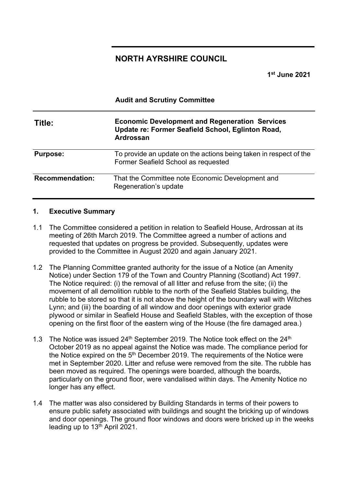# **NORTH AYRSHIRE COUNCIL**

**Audit and Scrutiny Committee**

**1st June 2021**

| Title:                 | <b>Economic Development and Regeneration Services</b><br>Update re: Former Seafield School, Eglinton Road,<br>Ardrossan |
|------------------------|-------------------------------------------------------------------------------------------------------------------------|
| <b>Purpose:</b>        | To provide an update on the actions being taken in respect of the<br>Former Seafield School as requested                |
| <b>Recommendation:</b> | That the Committee note Economic Development and<br>Regeneration's update                                               |

#### **1. Executive Summary**

- 1.1 The Committee considered a petition in relation to Seafield House, Ardrossan at its meeting of 26th March 2019. The Committee agreed a number of actions and requested that updates on progress be provided. Subsequently, updates were provided to the Committee in August 2020 and again January 2021.
- 1.2 The Planning Committee granted authority for the issue of a Notice (an Amenity Notice) under Section 179 of the Town and Country Planning (Scotland) Act 1997. The Notice required: (i) the removal of all litter and refuse from the site; (ii) the movement of all demolition rubble to the north of the Seafield Stables building, the rubble to be stored so that it is not above the height of the boundary wall with Witches Lynn; and (iii) the boarding of all window and door openings with exterior grade plywood or similar in Seafield House and Seafield Stables, with the exception of those opening on the first floor of the eastern wing of the House (the fire damaged area.)
- 1.3 The Notice was issued  $24<sup>th</sup>$  September 2019. The Notice took effect on the  $24<sup>th</sup>$ October 2019 as no appeal against the Notice was made. The compliance period for the Notice expired on the 5<sup>th</sup> December 2019. The requirements of the Notice were met in September 2020. Litter and refuse were removed from the site. The rubble has been moved as required. The openings were boarded, although the boards, particularly on the ground floor, were vandalised within days. The Amenity Notice no longer has any effect.
- 1.4 The matter was also considered by Building Standards in terms of their powers to ensure public safety associated with buildings and sought the bricking up of windows and door openings. The ground floor windows and doors were bricked up in the weeks leading up to 13<sup>th</sup> April 2021.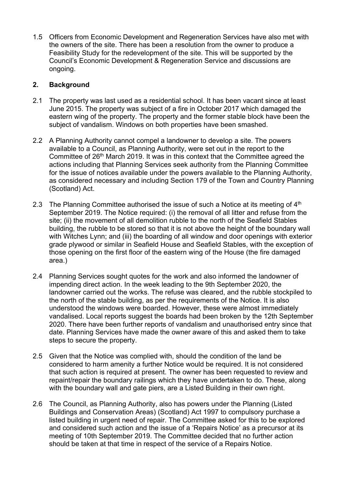1.5 Officers from Economic Development and Regeneration Services have also met with the owners of the site. There has been a resolution from the owner to produce a Feasibility Study for the redevelopment of the site. This will be supported by the Council's Economic Development & Regeneration Service and discussions are ongoing.

# **2. Background**

- 2.1 The property was last used as a residential school. It has been vacant since at least June 2015. The property was subject of a fire in October 2017 which damaged the eastern wing of the property. The property and the former stable block have been the subject of vandalism. Windows on both properties have been smashed.
- 2.2 A Planning Authority cannot compel a landowner to develop a site. The powers available to a Council, as Planning Authority, were set out in the report to the Committee of 26<sup>th</sup> March 2019. It was in this context that the Committee agreed the actions including that Planning Services seek authority from the Planning Committee for the issue of notices available under the powers available to the Planning Authority, as considered necessary and including Section 179 of the Town and Country Planning (Scotland) Act.
- 2.3 The Planning Committee authorised the issue of such a Notice at its meeting of  $4<sup>th</sup>$ September 2019. The Notice required: (i) the removal of all litter and refuse from the site; (ii) the movement of all demolition rubble to the north of the Seafield Stables building, the rubble to be stored so that it is not above the height of the boundary wall with Witches Lynn; and (iii) the boarding of all window and door openings with exterior grade plywood or similar in Seafield House and Seafield Stables, with the exception of those opening on the first floor of the eastern wing of the House (the fire damaged area.)
- 2.4 Planning Services sought quotes for the work and also informed the landowner of impending direct action. In the week leading to the 9th September 2020, the landowner carried out the works. The refuse was cleared, and the rubble stockpiled to the north of the stable building, as per the requirements of the Notice. It is also understood the windows were boarded. However, these were almost immediately vandalised. Local reports suggest the boards had been broken by the 12th September 2020. There have been further reports of vandalism and unauthorised entry since that date. Planning Services have made the owner aware of this and asked them to take steps to secure the property.
- 2.5 Given that the Notice was complied with, should the condition of the land be considered to harm amenity a further Notice would be required. It is not considered that such action is required at present. The owner has been requested to review and repaint/repair the boundary railings which they have undertaken to do. These, along with the boundary wall and gate piers, are a Listed Building in their own right.
- 2.6 The Council, as Planning Authority, also has powers under the Planning (Listed Buildings and Conservation Areas) (Scotland) Act 1997 to compulsory purchase a listed building in urgent need of repair. The Committee asked for this to be explored and considered such action and the issue of a 'Repairs Notice' as a precursor at its meeting of 10th September 2019. The Committee decided that no further action should be taken at that time in respect of the service of a Repairs Notice.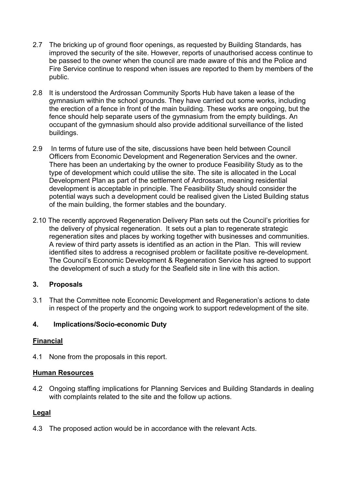- 2.7 The bricking up of ground floor openings, as requested by Building Standards, has improved the security of the site. However, reports of unauthorised access continue to be passed to the owner when the council are made aware of this and the Police and Fire Service continue to respond when issues are reported to them by members of the public.
- 2.8 It is understood the Ardrossan Community Sports Hub have taken a lease of the gymnasium within the school grounds. They have carried out some works, including the erection of a fence in front of the main building. These works are ongoing, but the fence should help separate users of the gymnasium from the empty buildings. An occupant of the gymnasium should also provide additional surveillance of the listed buildings.
- 2.9 In terms of future use of the site, discussions have been held between Council Officers from Economic Development and Regeneration Services and the owner. There has been an undertaking by the owner to produce Feasibility Study as to the type of development which could utilise the site. The site is allocated in the Local Development Plan as part of the settlement of Ardrossan, meaning residential development is acceptable in principle. The Feasibility Study should consider the potential ways such a development could be realised given the Listed Building status of the main building, the former stables and the boundary.
- 2.10 The recently approved Regeneration Delivery Plan sets out the Council's priorities for the delivery of physical regeneration. It sets out a plan to regenerate strategic regeneration sites and places by working together with businesses and communities. A review of third party assets is identified as an action in the Plan. This will review identified sites to address a recognised problem or facilitate positive re-development. The Council's Economic Development & Regeneration Service has agreed to support the development of such a study for the Seafield site in line with this action.

# **3. Proposals**

3.1 That the Committee note Economic Development and Regeneration's actions to date in respect of the property and the ongoing work to support redevelopment of the site.

# **4. Implications/Socio-economic Duty**

#### **Financial**

4.1 None from the proposals in this report.

#### **Human Resources**

4.2 Ongoing staffing implications for Planning Services and Building Standards in dealing with complaints related to the site and the follow up actions.

# **Legal**

4.3 The proposed action would be in accordance with the relevant Acts.